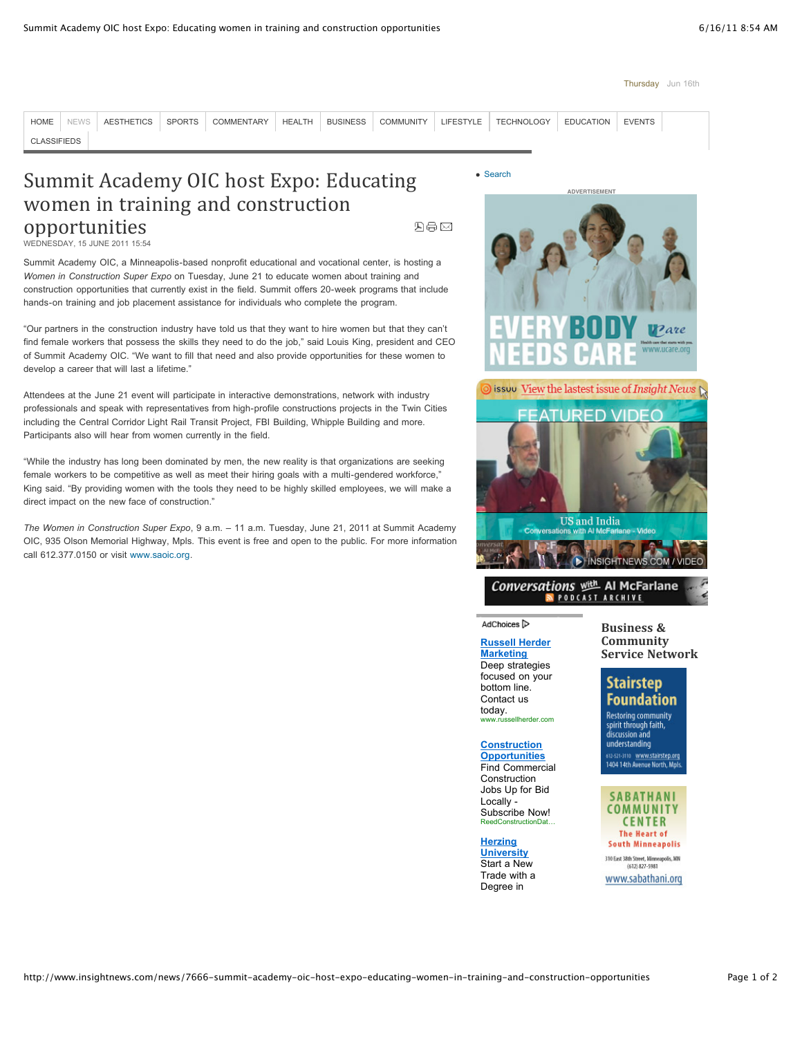#### Thursday Jun 16th

[HOME](http://www.insightnews.com/) [NEWS](http://www.insightnews.com/news) [AESTHETICS](http://www.insightnews.com/aesthetics) [SPORTS](http://www.insightnews.com/sports) [COMMENTARY](http://www.insightnews.com/commentary) [HEALTH](http://www.insightnews.com/health) [BUSINESS](http://www.insightnews.com/business) [COMMUNITY](http://www.insightnews.com/community) [LIFESTYLE](http://www.insightnews.com/lifestyle) [TECHNOLOGY](http://www.insightnews.com/technology) [EDUCATION](http://www.insightnews.com/education) [EVENTS](http://www.insightnews.com/events) [CLASSIFIEDS](http://www.insightnews.com/classifieds)

# Summit Academy OIC host Expo: Educating women in training and construction opportunities

四身区

WEDNESDAY, 15 JUNE 2011 15:54

Summit Academy OIC, a Minneapolis-based nonprofit educational and vocational center, is hosting a *Women in Construction Super Expo* on Tuesday, June 21 to educate women about training and construction opportunities that currently exist in the field. Summit offers 20-week programs that include hands-on training and job placement assistance for individuals who complete the program.

"Our partners in the construction industry have told us that they want to hire women but that they can't find female workers that possess the skills they need to do the job," said Louis King, president and CEO of Summit Academy OIC. "We want to fill that need and also provide opportunities for these women to develop a career that will last a lifetime."

Attendees at the June 21 event will participate in interactive demonstrations, network with industry professionals and speak with representatives from high-profile constructions projects in the Twin Cities including the Central Corridor Light Rail Transit Project, FBI Building, Whipple Building and more. Participants also will hear from women currently in the field.

"While the industry has long been dominated by men, the new reality is that organizations are seeking female workers to be competitive as well as meet their hiring goals with a multi-gendered workforce," King said. "By providing women with the tools they need to be highly skilled employees, we will make a direct impact on the new face of construction."

*The Women in Construction Super Expo*, 9 a.m. – 11 a.m. Tuesday, June 21, 2011 at Summit Academy OIC, 935 Olson Memorial Highway, Mpls. This event is free and open to the public. For more information call 612.377.0150 or visit [www.saoic.org](http://www.saoic.org/).



Conversations (进 Al McFarlane N PODCAST ARCHIVE

### AdChoices<sup>1></sup>

#### **[Russell Herder](http://googleads.g.doubleclick.net/aclk?sa=l&ai=Bj_jvvAr6TYqCC6LujASa7MzkCI_XgN4B_8jhhRjvk-PzR_DQSBABGAEgoIWZCigEOABQxcuxs_7_____AWDJtuCJlKSYE6ABxeHL-QOyARN3d3cuaW5zaWdodG5ld3MuY29tugEKMTIweDYwMF9hc8gBAdoBfGh0dHA6Ly93d3cuaW5zaWdodG5ld3MuY29tL25ld3MvNzY2Ni1zdW1taXQtYWNhZGVteS1vaWMtaG9zdC1leHBvLWVkdWNhdGluZy13b21lbi1pbi10cmFpbmluZy1hbmQtY29uc3RydWN0aW9uLW9wcG9ydHVuaXRpZXOAAgHAAgXIAv-9_BaoAwHIAxfoA7Ep6AMM6APFAugDNugDvgf1AwIAAMQ&num=1&sig=AGiWqtyubI6uVCWH3AFT6N0GX3Li5OF1zw&client=ca-pub-4686714253046919&adurl=http://www.russellherder.com/) Marketing**

Deep strategies focused on your bottom line. Contact us today. www.russellherder.com

### **Construction**

**[Opportunities](http://googleads.g.doubleclick.net/aclk?sa=l&ai=BJSqRvAr6TYqCC6LujASa7MzkCN_MvbACv4PAtBzAjbcB0LxuEAIYAiCghZkKKAQ4AFC5oO-9AmDJtuCJlKSYE6ABnYOd_AOyARN3d3cuaW5zaWdodG5ld3MuY29tugEKMTIweDYwMF9hc8gBAdoBfGh0dHA6Ly93d3cuaW5zaWdodG5ld3MuY29tL25ld3MvNzY2Ni1zdW1taXQtYWNhZGVteS1vaWMtaG9zdC1leHBvLWVkdWNhdGluZy13b21lbi1pbi10cmFpbmluZy1hbmQtY29uc3RydWN0aW9uLW9wcG9ydHVuaXRpZXPIAtGiggyoAwHIAxfoA7Ep6AMM6APFAugDNugDvgf1AwIAAMQ&num=2&sig=AGiWqtyX2njFAwxmwX8OQp--jn_9buf-PQ&client=ca-pub-4686714253046919&adurl=http://www.reedconstructiondata.com/sem/usdata-3/%3Fcmpid%3DPSC%7CGoogle-Network%7CConstructionBid)** Find Commercial Construction Jobs Up for Bid Locally - Subscribe Now! ReedConstructionDa

### **Herzing [University](http://googleads.g.doubleclick.net/aclk?sa=l&ai=BEWzHvAr6TYqCC6LujASa7MzkCOyrpLgB-MOs1BjAjbcBsN7_ARADGAMgoIWZCigEOABQ2J30lgdgybbgiZSkmBOgAbTgrPsDsgETd3d3Lmluc2lnaHRuZXdzLmNvbboBCjEyMHg2MDBfYXPIAQHaAXxodHRwOi8vd3d3Lmluc2lnaHRuZXdzLmNvbS9uZXdzLzc2NjYtc3VtbWl0LWFjYWRlbXktb2ljLWhvc3QtZXhwby1lZHVjYXRpbmctd29tZW4taW4tdHJhaW5pbmctYW5kLWNvbnN0cnVjdGlvbi1vcHBvcnR1bml0aWVzgAIByALQkLIXqAMByAMX6AOxKegDDOgDxQLoAzboA74H9QMCAADE&num=3&sig=AGiWqtw3erofZ4kUtp_XfXjddHlSxJRrNA&client=ca-pub-4686714253046919&adurl=http://choose.herzing.edu/minneapolis1)**

Start a New Trade with a Degree in

**Business'& Community Service Network** 

## **Stairstep Foundation**

**Restoring community** spirit through faith, discussion and understanding s12-521-3110 <mark>- www.stairstep.org</mark><br>1404 14th Avenue North, Mpls

### **SABATHANI** COMMUNITY **CENTER The Heart of South Minneapolis**

310 East 38th Street, Minneapolis, MN (612) 827-5981

www.sabathani.org